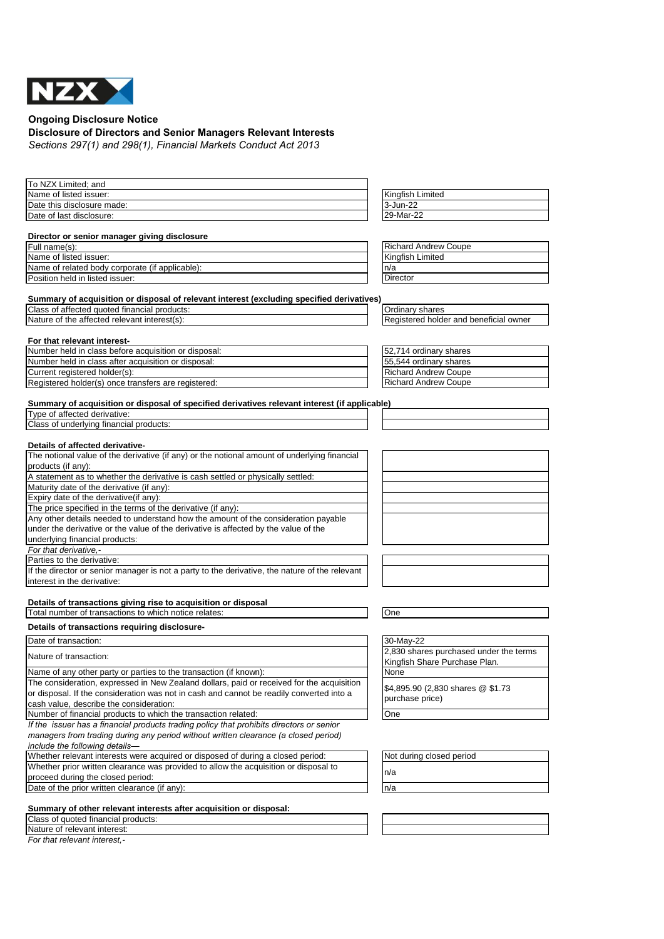

**Ongoing Disclosure Notice**

## **Disclosure of Directors and Senior Managers Relevant Interests**

*Sections 297(1) and 298(1), Financial Markets Conduct Act 2013*

| To NZX Limited; and                                                                            |                                        |
|------------------------------------------------------------------------------------------------|----------------------------------------|
| Name of listed issuer:                                                                         | Kingfish Limited                       |
| Date this disclosure made:                                                                     | 3-Jun-22                               |
| Date of last disclosure:                                                                       | 29-Mar-22                              |
|                                                                                                |                                        |
| Director or senior manager giving disclosure                                                   |                                        |
| Full name(s):                                                                                  | <b>Richard Andrew Coupe</b>            |
| Name of listed issuer:                                                                         | Kingfish Limited                       |
| Name of related body corporate (if applicable):                                                | n/a                                    |
| Position held in listed issuer:                                                                | Director                               |
| Summary of acquisition or disposal of relevant interest (excluding specified derivatives)      |                                        |
| Class of affected quoted financial products:                                                   | Ordinary shares                        |
| Nature of the affected relevant interest(s):                                                   | Registered holder and beneficial owner |
|                                                                                                |                                        |
| For that relevant interest-                                                                    |                                        |
| Number held in class before acquisition or disposal:                                           | 52,714 ordinary shares                 |
| Number held in class after acquisition or disposal:                                            | 55,544 ordinary shares                 |
| Current registered holder(s):                                                                  | <b>Richard Andrew Coupe</b>            |
| Registered holder(s) once transfers are registered:                                            | <b>Richard Andrew Coupe</b>            |
|                                                                                                |                                        |
| Summary of acquisition or disposal of specified derivatives relevant interest (if applicable)  |                                        |
| Type of affected derivative:                                                                   |                                        |
| Class of underlying financial products:                                                        |                                        |
|                                                                                                |                                        |
| Details of affected derivative-                                                                |                                        |
| The notional value of the derivative (if any) or the notional amount of underlying financial   |                                        |
| products (if any):                                                                             |                                        |
| A statement as to whether the derivative is cash settled or physically settled:                |                                        |
| Maturity date of the derivative (if any):                                                      |                                        |
| Expiry date of the derivative(if any):                                                         |                                        |
| The price specified in the terms of the derivative (if any):                                   |                                        |
| Any other details needed to understand how the amount of the consideration payable             |                                        |
| under the derivative or the value of the derivative is affected by the value of the            |                                        |
| underlying financial products:                                                                 |                                        |
| For that derivative,-                                                                          |                                        |
| Parties to the derivative:                                                                     |                                        |
| If the director or senior manager is not a party to the derivative, the nature of the relevant |                                        |
| interest in the derivative:                                                                    |                                        |
|                                                                                                |                                        |
| Details of transactions giving rise to acquisition or disposal                                 |                                        |
| Total number of transactions to which notice relates:                                          | One                                    |
| Details of transactions requiring disclosure-                                                  |                                        |
| Date of transaction:                                                                           | 30-May-22                              |
| Nature of transaction:                                                                         | 2,830 shares purchased under the terms |
|                                                                                                | Kingfish Share Purchase Plan.          |
| Name of any other party or parties to the transaction (if known):                              | None                                   |
| The consideration, expressed in New Zealand dollars, paid or received for the acquisition      | \$4,895.90 (2,830 shares @ \$1.73      |
| or disposal. If the consideration was not in cash and cannot be readily converted into a       |                                        |
| cash value, describe the consideration:                                                        | purchase price)                        |
| Number of financial products to which the transaction related:                                 | One                                    |
| If the issuer has a financial products trading policy that prohibits directors or senior       |                                        |
| managers from trading during any period without written clearance (a closed period)            |                                        |
| include the following details-                                                                 |                                        |
| Whether relevant interests were acquired or disposed of during a closed period:                | Not during closed period               |
| Whether prior written clearance was provided to allow the acquisition or disposal to           |                                        |
| proceed during the closed period:                                                              | n/a                                    |
| Date of the prior written clearance (if any):                                                  | n/a                                    |
|                                                                                                |                                        |
| Summary of other relevant interests after acquisition or disposal:                             |                                        |
| Class of quoted financial products:                                                            |                                        |
| Nature of relevant interest:                                                                   |                                        |

*For that relevant interest,-*